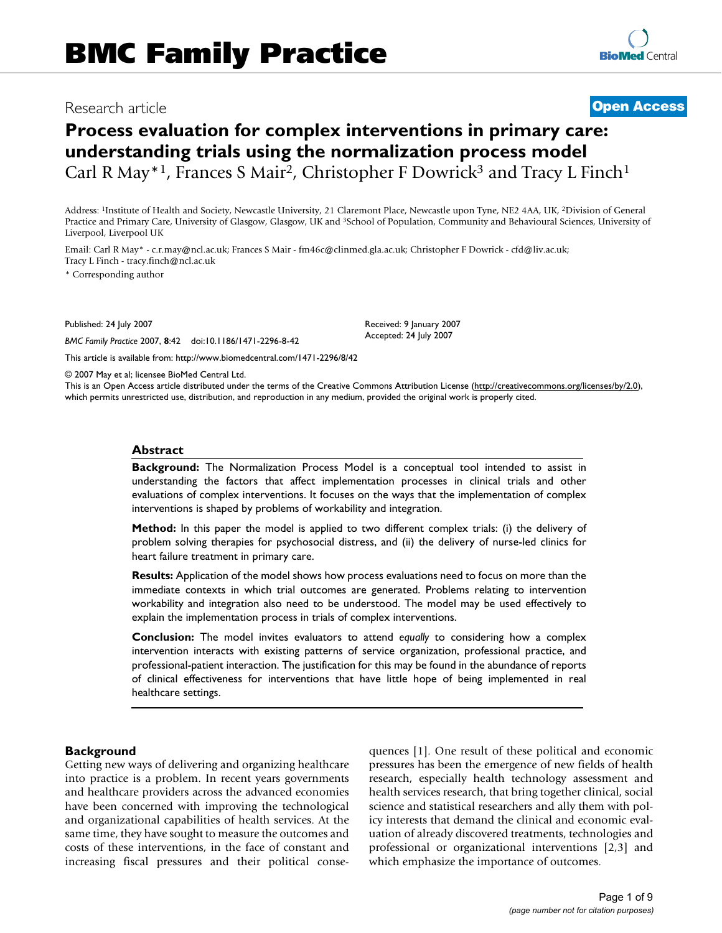# Research article **[Open Access](http://www.biomedcentral.com/info/about/charter/)**

# **Process evaluation for complex interventions in primary care: understanding trials using the normalization process model** Carl R May<sup>\*1</sup>, Frances S Mair<sup>2</sup>, Christopher F Dowrick<sup>3</sup> and Tracy L Finch<sup>1</sup>

Address: 1Institute of Health and Society, Newcastle University, 21 Claremont Place, Newcastle upon Tyne, NE2 4AA, UK, 2Division of General Practice and Primary Care, University of Glasgow, Glasgow, UK and 3School of Population, Community and Behavioural Sciences, University of Liverpool, Liverpool UK

Email: Carl R May\* - c.r.may@ncl.ac.uk; Frances S Mair - fm46c@clinmed.gla.ac.uk; Christopher F Dowrick - cfd@liv.ac.uk; Tracy L Finch - tracy.finch@ncl.ac.uk

\* Corresponding author

Published: 24 July 2007

*BMC Family Practice* 2007, **8**:42 doi:10.1186/1471-2296-8-42

[This article is available from: http://www.biomedcentral.com/1471-2296/8/42](http://www.biomedcentral.com/1471-2296/8/42)

© 2007 May et al; licensee BioMed Central Ltd.

This is an Open Access article distributed under the terms of the Creative Commons Attribution License [\(http://creativecommons.org/licenses/by/2.0\)](http://creativecommons.org/licenses/by/2.0), which permits unrestricted use, distribution, and reproduction in any medium, provided the original work is properly cited.

Received: 9 January 2007 Accepted: 24 July 2007

#### **Abstract**

**Background:** The Normalization Process Model is a conceptual tool intended to assist in understanding the factors that affect implementation processes in clinical trials and other evaluations of complex interventions. It focuses on the ways that the implementation of complex interventions is shaped by problems of workability and integration.

**Method:** In this paper the model is applied to two different complex trials: (i) the delivery of problem solving therapies for psychosocial distress, and (ii) the delivery of nurse-led clinics for heart failure treatment in primary care.

**Results:** Application of the model shows how process evaluations need to focus on more than the immediate contexts in which trial outcomes are generated. Problems relating to intervention workability and integration also need to be understood. The model may be used effectively to explain the implementation process in trials of complex interventions.

**Conclusion:** The model invites evaluators to attend *equally* to considering how a complex intervention interacts with existing patterns of service organization, professional practice, and professional-patient interaction. The justification for this may be found in the abundance of reports of clinical effectiveness for interventions that have little hope of being implemented in real healthcare settings.

#### **Background**

Getting new ways of delivering and organizing healthcare into practice is a problem. In recent years governments and healthcare providers across the advanced economies have been concerned with improving the technological and organizational capabilities of health services. At the same time, they have sought to measure the outcomes and costs of these interventions, in the face of constant and increasing fiscal pressures and their political consequences [1]. One result of these political and economic pressures has been the emergence of new fields of health research, especially health technology assessment and health services research, that bring together clinical, social science and statistical researchers and ally them with policy interests that demand the clinical and economic evaluation of already discovered treatments, technologies and professional or organizational interventions [2,3] and which emphasize the importance of outcomes.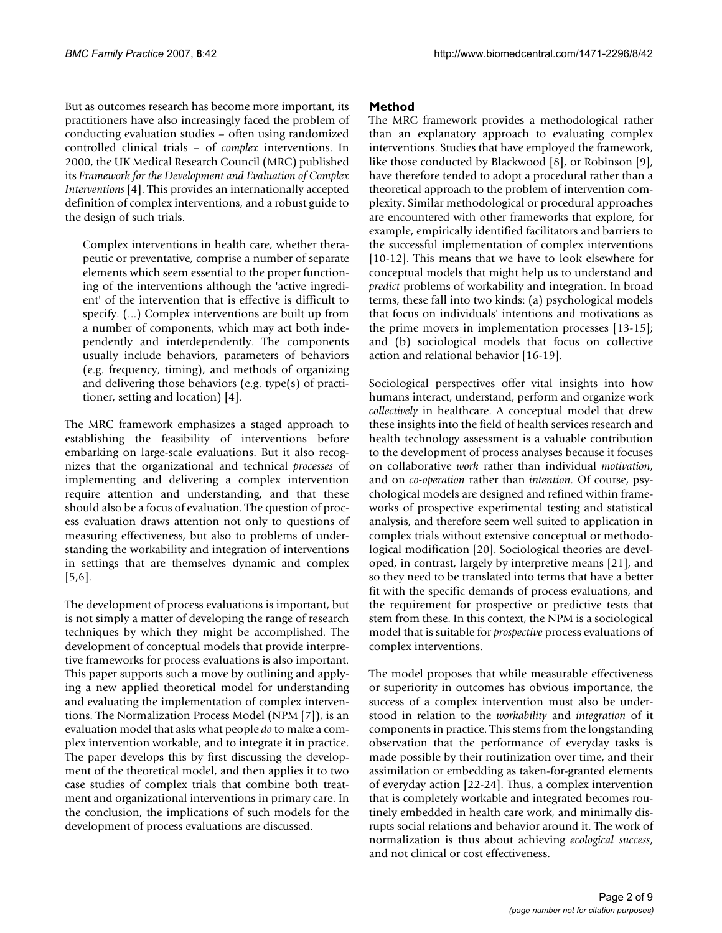But as outcomes research has become more important, its practitioners have also increasingly faced the problem of conducting evaluation studies – often using randomized controlled clinical trials – of *complex* interventions. In 2000, the UK Medical Research Council (MRC) published its *Framework for the Development and Evaluation of Complex Interventions* [4]. This provides an internationally accepted definition of complex interventions, and a robust guide to the design of such trials.

Complex interventions in health care, whether therapeutic or preventative, comprise a number of separate elements which seem essential to the proper functioning of the interventions although the 'active ingredient' of the intervention that is effective is difficult to specify. (...) Complex interventions are built up from a number of components, which may act both independently and interdependently. The components usually include behaviors, parameters of behaviors (e.g. frequency, timing), and methods of organizing and delivering those behaviors (e.g. type(s) of practitioner, setting and location) [4].

The MRC framework emphasizes a staged approach to establishing the feasibility of interventions before embarking on large-scale evaluations. But it also recognizes that the organizational and technical *processes* of implementing and delivering a complex intervention require attention and understanding, and that these should also be a focus of evaluation. The question of process evaluation draws attention not only to questions of measuring effectiveness, but also to problems of understanding the workability and integration of interventions in settings that are themselves dynamic and complex [5,6].

The development of process evaluations is important, but is not simply a matter of developing the range of research techniques by which they might be accomplished. The development of conceptual models that provide interpretive frameworks for process evaluations is also important. This paper supports such a move by outlining and applying a new applied theoretical model for understanding and evaluating the implementation of complex interventions. The Normalization Process Model (NPM [7]), is an evaluation model that asks what people *do* to make a complex intervention workable, and to integrate it in practice. The paper develops this by first discussing the development of the theoretical model, and then applies it to two case studies of complex trials that combine both treatment and organizational interventions in primary care. In the conclusion, the implications of such models for the development of process evaluations are discussed.

## **Method**

The MRC framework provides a methodological rather than an explanatory approach to evaluating complex interventions. Studies that have employed the framework, like those conducted by Blackwood [8], or Robinson [9], have therefore tended to adopt a procedural rather than a theoretical approach to the problem of intervention complexity. Similar methodological or procedural approaches are encountered with other frameworks that explore, for example, empirically identified facilitators and barriers to the successful implementation of complex interventions [10-12]. This means that we have to look elsewhere for conceptual models that might help us to understand and *predict* problems of workability and integration. In broad terms, these fall into two kinds: (a) psychological models that focus on individuals' intentions and motivations as the prime movers in implementation processes [13-15]; and (b) sociological models that focus on collective action and relational behavior [16-19].

Sociological perspectives offer vital insights into how humans interact, understand, perform and organize work *collectively* in healthcare. A conceptual model that drew these insights into the field of health services research and health technology assessment is a valuable contribution to the development of process analyses because it focuses on collaborative *work* rather than individual *motivation*, and on *co-operation* rather than *intention*. Of course, psychological models are designed and refined within frameworks of prospective experimental testing and statistical analysis, and therefore seem well suited to application in complex trials without extensive conceptual or methodological modification [20]. Sociological theories are developed, in contrast, largely by interpretive means [21], and so they need to be translated into terms that have a better fit with the specific demands of process evaluations, and the requirement for prospective or predictive tests that stem from these. In this context, the NPM is a sociological model that is suitable for *prospective* process evaluations of complex interventions.

The model proposes that while measurable effectiveness or superiority in outcomes has obvious importance, the success of a complex intervention must also be understood in relation to the *workability* and *integration* of it components in practice. This stems from the longstanding observation that the performance of everyday tasks is made possible by their routinization over time, and their assimilation or embedding as taken-for-granted elements of everyday action [22-24]. Thus, a complex intervention that is completely workable and integrated becomes routinely embedded in health care work, and minimally disrupts social relations and behavior around it. The work of normalization is thus about achieving *ecological success*, and not clinical or cost effectiveness.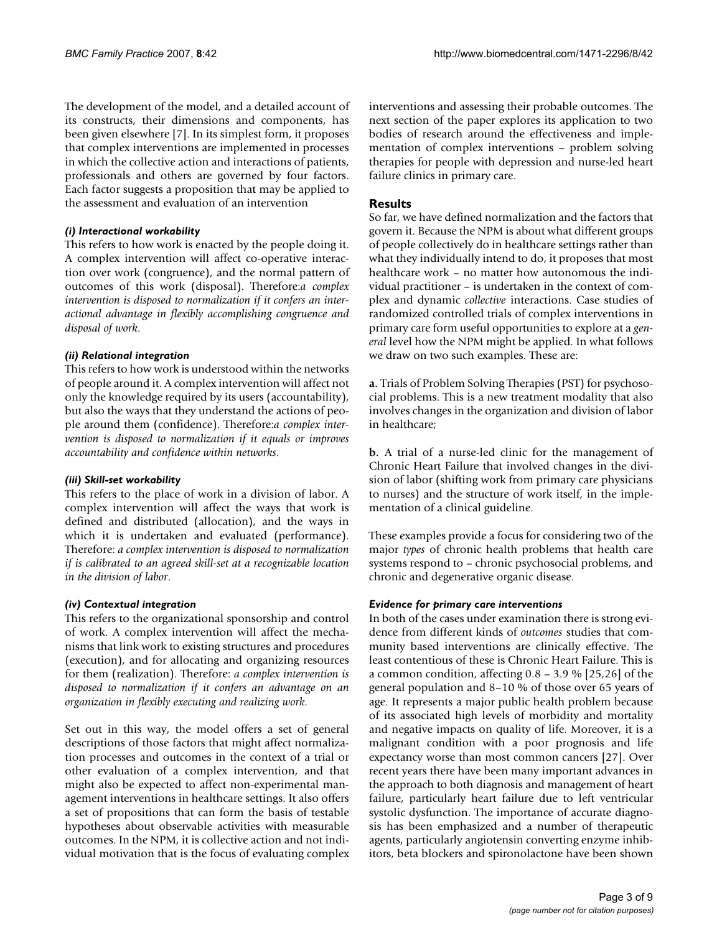The development of the model, and a detailed account of its constructs, their dimensions and components, has been given elsewhere [7]. In its simplest form, it proposes that complex interventions are implemented in processes in which the collective action and interactions of patients, professionals and others are governed by four factors. Each factor suggests a proposition that may be applied to the assessment and evaluation of an intervention

## *(i) Interactional workability*

This refers to how work is enacted by the people doing it. A complex intervention will affect co-operative interaction over work (congruence), and the normal pattern of outcomes of this work (disposal). Therefore:*a complex intervention is disposed to normalization if it confers an interactional advantage in flexibly accomplishing congruence and disposal of work*.

## *(ii) Relational integration*

This refers to how work is understood within the networks of people around it. A complex intervention will affect not only the knowledge required by its users (accountability), but also the ways that they understand the actions of people around them (confidence). Therefore:*a complex intervention is disposed to normalization if it equals or improves accountability and confidence within networks*.

## *(iii) Skill-set workability*

This refers to the place of work in a division of labor. A complex intervention will affect the ways that work is defined and distributed (allocation), and the ways in which it is undertaken and evaluated (performance). Therefore: *a complex intervention is disposed to normalization if is calibrated to an agreed skill-set at a recognizable location in the division of labor*.

## *(iv) Contextual integration*

This refers to the organizational sponsorship and control of work. A complex intervention will affect the mechanisms that link work to existing structures and procedures (execution), and for allocating and organizing resources for them (realization). Therefore: *a complex intervention is disposed to normalization if it confers an advantage on an organization in flexibly executing and realizing work*.

Set out in this way, the model offers a set of general descriptions of those factors that might affect normalization processes and outcomes in the context of a trial or other evaluation of a complex intervention, and that might also be expected to affect non-experimental management interventions in healthcare settings. It also offers a set of propositions that can form the basis of testable hypotheses about observable activities with measurable outcomes. In the NPM, it is collective action and not individual motivation that is the focus of evaluating complex interventions and assessing their probable outcomes. The next section of the paper explores its application to two bodies of research around the effectiveness and implementation of complex interventions – problem solving therapies for people with depression and nurse-led heart failure clinics in primary care.

## **Results**

So far, we have defined normalization and the factors that govern it. Because the NPM is about what different groups of people collectively do in healthcare settings rather than what they individually intend to do, it proposes that most healthcare work – no matter how autonomous the individual practitioner – is undertaken in the context of complex and dynamic *collective* interactions. Case studies of randomized controlled trials of complex interventions in primary care form useful opportunities to explore at a *general* level how the NPM might be applied. In what follows we draw on two such examples. These are:

**a.** Trials of Problem Solving Therapies (PST) for psychosocial problems. This is a new treatment modality that also involves changes in the organization and division of labor in healthcare;

**b.** A trial of a nurse-led clinic for the management of Chronic Heart Failure that involved changes in the division of labor (shifting work from primary care physicians to nurses) and the structure of work itself, in the implementation of a clinical guideline.

These examples provide a focus for considering two of the major *types* of chronic health problems that health care systems respond to – chronic psychosocial problems, and chronic and degenerative organic disease.

## *Evidence for primary care interventions*

In both of the cases under examination there is strong evidence from different kinds of *outcomes* studies that community based interventions are clinically effective. The least contentious of these is Chronic Heart Failure. This is a common condition, affecting  $0.8 - 3.9\%$  [25,26] of the general population and 8–10 % of those over 65 years of age. It represents a major public health problem because of its associated high levels of morbidity and mortality and negative impacts on quality of life. Moreover, it is a malignant condition with a poor prognosis and life expectancy worse than most common cancers [27]. Over recent years there have been many important advances in the approach to both diagnosis and management of heart failure, particularly heart failure due to left ventricular systolic dysfunction. The importance of accurate diagnosis has been emphasized and a number of therapeutic agents, particularly angiotensin converting enzyme inhibitors, beta blockers and spironolactone have been shown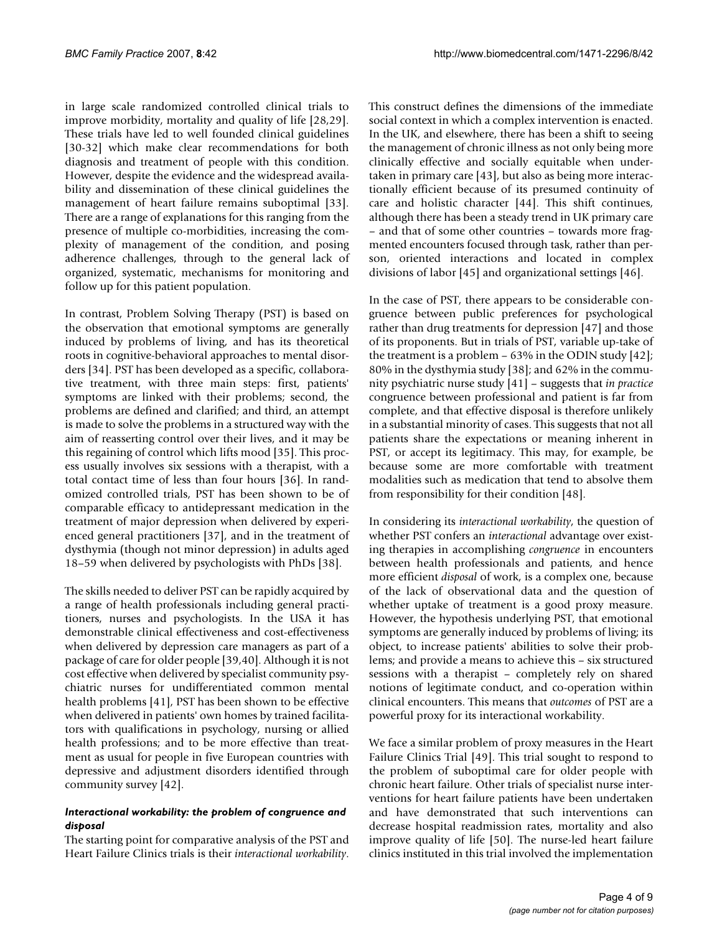in large scale randomized controlled clinical trials to improve morbidity, mortality and quality of life [28,29]. These trials have led to well founded clinical guidelines [30-32] which make clear recommendations for both diagnosis and treatment of people with this condition. However, despite the evidence and the widespread availability and dissemination of these clinical guidelines the management of heart failure remains suboptimal [33]. There are a range of explanations for this ranging from the presence of multiple co-morbidities, increasing the complexity of management of the condition, and posing adherence challenges, through to the general lack of organized, systematic, mechanisms for monitoring and follow up for this patient population.

In contrast, Problem Solving Therapy (PST) is based on the observation that emotional symptoms are generally induced by problems of living, and has its theoretical roots in cognitive-behavioral approaches to mental disorders [34]. PST has been developed as a specific, collaborative treatment, with three main steps: first, patients' symptoms are linked with their problems; second, the problems are defined and clarified; and third, an attempt is made to solve the problems in a structured way with the aim of reasserting control over their lives, and it may be this regaining of control which lifts mood [35]. This process usually involves six sessions with a therapist, with a total contact time of less than four hours [36]. In randomized controlled trials, PST has been shown to be of comparable efficacy to antidepressant medication in the treatment of major depression when delivered by experienced general practitioners [37], and in the treatment of dysthymia (though not minor depression) in adults aged 18–59 when delivered by psychologists with PhDs [38].

The skills needed to deliver PST can be rapidly acquired by a range of health professionals including general practitioners, nurses and psychologists. In the USA it has demonstrable clinical effectiveness and cost-effectiveness when delivered by depression care managers as part of a package of care for older people [39,40]. Although it is not cost effective when delivered by specialist community psychiatric nurses for undifferentiated common mental health problems [41], PST has been shown to be effective when delivered in patients' own homes by trained facilitators with qualifications in psychology, nursing or allied health professions; and to be more effective than treatment as usual for people in five European countries with depressive and adjustment disorders identified through community survey [42].

## *Interactional workability: the problem of congruence and disposal*

The starting point for comparative analysis of the PST and Heart Failure Clinics trials is their *interactional workability*.

This construct defines the dimensions of the immediate social context in which a complex intervention is enacted. In the UK, and elsewhere, there has been a shift to seeing the management of chronic illness as not only being more clinically effective and socially equitable when undertaken in primary care [43], but also as being more interactionally efficient because of its presumed continuity of care and holistic character [44]. This shift continues, although there has been a steady trend in UK primary care – and that of some other countries – towards more fragmented encounters focused through task, rather than person, oriented interactions and located in complex divisions of labor [45] and organizational settings [46].

In the case of PST, there appears to be considerable congruence between public preferences for psychological rather than drug treatments for depression [47] and those of its proponents. But in trials of PST, variable up-take of the treatment is a problem – 63% in the ODIN study [42]; 80% in the dysthymia study [38]; and 62% in the community psychiatric nurse study [41] – suggests that *in practice* congruence between professional and patient is far from complete, and that effective disposal is therefore unlikely in a substantial minority of cases. This suggests that not all patients share the expectations or meaning inherent in PST, or accept its legitimacy. This may, for example, be because some are more comfortable with treatment modalities such as medication that tend to absolve them from responsibility for their condition [48].

In considering its *interactional workability*, the question of whether PST confers an *interactional* advantage over existing therapies in accomplishing *congruence* in encounters between health professionals and patients, and hence more efficient *disposal* of work, is a complex one, because of the lack of observational data and the question of whether uptake of treatment is a good proxy measure. However, the hypothesis underlying PST, that emotional symptoms are generally induced by problems of living; its object, to increase patients' abilities to solve their problems; and provide a means to achieve this – six structured sessions with a therapist – completely rely on shared notions of legitimate conduct, and co-operation within clinical encounters. This means that *outcomes* of PST are a powerful proxy for its interactional workability.

We face a similar problem of proxy measures in the Heart Failure Clinics Trial [49]. This trial sought to respond to the problem of suboptimal care for older people with chronic heart failure. Other trials of specialist nurse interventions for heart failure patients have been undertaken and have demonstrated that such interventions can decrease hospital readmission rates, mortality and also improve quality of life [50]. The nurse-led heart failure clinics instituted in this trial involved the implementation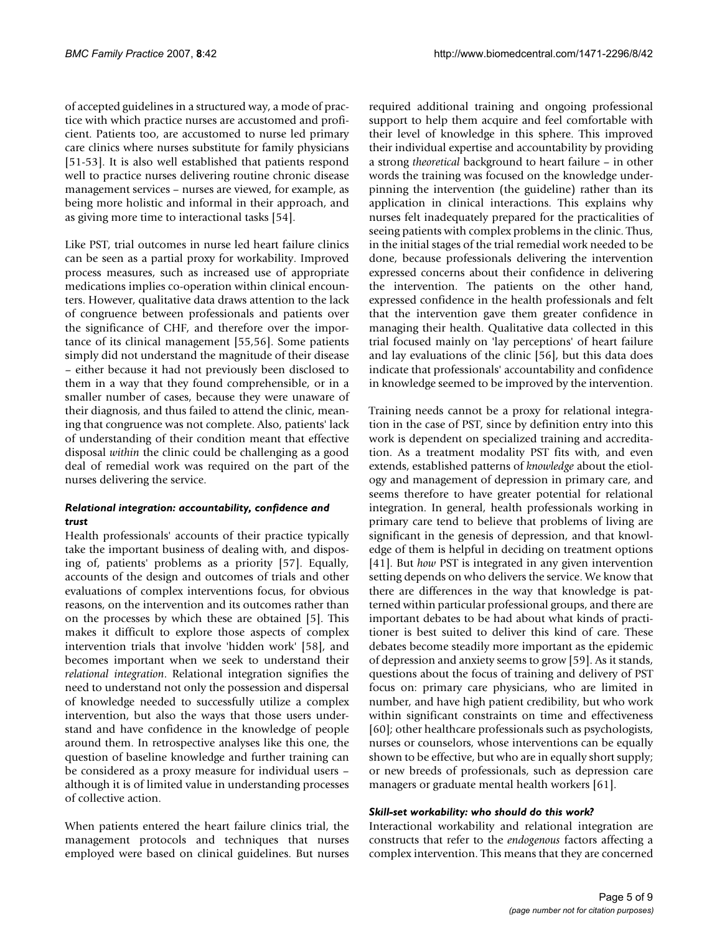of accepted guidelines in a structured way, a mode of practice with which practice nurses are accustomed and proficient. Patients too, are accustomed to nurse led primary care clinics where nurses substitute for family physicians [51-53]. It is also well established that patients respond well to practice nurses delivering routine chronic disease management services – nurses are viewed, for example, as being more holistic and informal in their approach, and as giving more time to interactional tasks [54].

Like PST, trial outcomes in nurse led heart failure clinics can be seen as a partial proxy for workability. Improved process measures, such as increased use of appropriate medications implies co-operation within clinical encounters. However, qualitative data draws attention to the lack of congruence between professionals and patients over the significance of CHF, and therefore over the importance of its clinical management [55,56]. Some patients simply did not understand the magnitude of their disease – either because it had not previously been disclosed to them in a way that they found comprehensible, or in a smaller number of cases, because they were unaware of their diagnosis, and thus failed to attend the clinic, meaning that congruence was not complete. Also, patients' lack of understanding of their condition meant that effective disposal *within* the clinic could be challenging as a good deal of remedial work was required on the part of the nurses delivering the service.

## *Relational integration: accountability, confidence and trust*

Health professionals' accounts of their practice typically take the important business of dealing with, and disposing of, patients' problems as a priority [57]. Equally, accounts of the design and outcomes of trials and other evaluations of complex interventions focus, for obvious reasons, on the intervention and its outcomes rather than on the processes by which these are obtained [5]. This makes it difficult to explore those aspects of complex intervention trials that involve 'hidden work' [58], and becomes important when we seek to understand their *relational integration*. Relational integration signifies the need to understand not only the possession and dispersal of knowledge needed to successfully utilize a complex intervention, but also the ways that those users understand and have confidence in the knowledge of people around them. In retrospective analyses like this one, the question of baseline knowledge and further training can be considered as a proxy measure for individual users – although it is of limited value in understanding processes of collective action.

When patients entered the heart failure clinics trial, the management protocols and techniques that nurses employed were based on clinical guidelines. But nurses

required additional training and ongoing professional support to help them acquire and feel comfortable with their level of knowledge in this sphere. This improved their individual expertise and accountability by providing a strong *theoretical* background to heart failure – in other words the training was focused on the knowledge underpinning the intervention (the guideline) rather than its application in clinical interactions. This explains why nurses felt inadequately prepared for the practicalities of seeing patients with complex problems in the clinic. Thus, in the initial stages of the trial remedial work needed to be done, because professionals delivering the intervention expressed concerns about their confidence in delivering the intervention. The patients on the other hand, expressed confidence in the health professionals and felt that the intervention gave them greater confidence in managing their health. Qualitative data collected in this trial focused mainly on 'lay perceptions' of heart failure and lay evaluations of the clinic [56], but this data does indicate that professionals' accountability and confidence in knowledge seemed to be improved by the intervention.

Training needs cannot be a proxy for relational integration in the case of PST, since by definition entry into this work is dependent on specialized training and accreditation. As a treatment modality PST fits with, and even extends, established patterns of *knowledge* about the etiology and management of depression in primary care, and seems therefore to have greater potential for relational integration. In general, health professionals working in primary care tend to believe that problems of living are significant in the genesis of depression, and that knowledge of them is helpful in deciding on treatment options [41]. But *how* PST is integrated in any given intervention setting depends on who delivers the service. We know that there are differences in the way that knowledge is patterned within particular professional groups, and there are important debates to be had about what kinds of practitioner is best suited to deliver this kind of care. These debates become steadily more important as the epidemic of depression and anxiety seems to grow [59]. As it stands, questions about the focus of training and delivery of PST focus on: primary care physicians, who are limited in number, and have high patient credibility, but who work within significant constraints on time and effectiveness [60]; other healthcare professionals such as psychologists, nurses or counselors, whose interventions can be equally shown to be effective, but who are in equally short supply; or new breeds of professionals, such as depression care managers or graduate mental health workers [61].

## *Skill-set workability: who should do this work?*

Interactional workability and relational integration are constructs that refer to the *endogenous* factors affecting a complex intervention. This means that they are concerned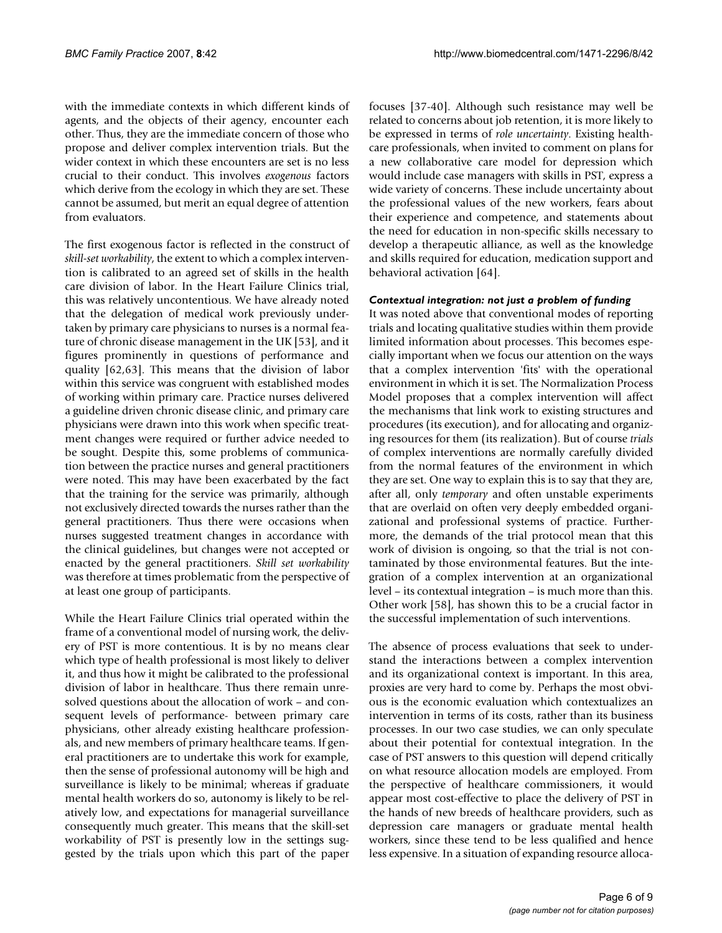with the immediate contexts in which different kinds of agents, and the objects of their agency, encounter each other. Thus, they are the immediate concern of those who propose and deliver complex intervention trials. But the wider context in which these encounters are set is no less crucial to their conduct. This involves *exogenous* factors which derive from the ecology in which they are set. These cannot be assumed, but merit an equal degree of attention from evaluators.

The first exogenous factor is reflected in the construct of *skill-set workability*, the extent to which a complex intervention is calibrated to an agreed set of skills in the health care division of labor. In the Heart Failure Clinics trial, this was relatively uncontentious. We have already noted that the delegation of medical work previously undertaken by primary care physicians to nurses is a normal feature of chronic disease management in the UK [53], and it figures prominently in questions of performance and quality [62,63]. This means that the division of labor within this service was congruent with established modes of working within primary care. Practice nurses delivered a guideline driven chronic disease clinic, and primary care physicians were drawn into this work when specific treatment changes were required or further advice needed to be sought. Despite this, some problems of communication between the practice nurses and general practitioners were noted. This may have been exacerbated by the fact that the training for the service was primarily, although not exclusively directed towards the nurses rather than the general practitioners. Thus there were occasions when nurses suggested treatment changes in accordance with the clinical guidelines, but changes were not accepted or enacted by the general practitioners. *Skill set workability* was therefore at times problematic from the perspective of at least one group of participants.

While the Heart Failure Clinics trial operated within the frame of a conventional model of nursing work, the delivery of PST is more contentious. It is by no means clear which type of health professional is most likely to deliver it, and thus how it might be calibrated to the professional division of labor in healthcare. Thus there remain unresolved questions about the allocation of work – and consequent levels of performance- between primary care physicians, other already existing healthcare professionals, and new members of primary healthcare teams. If general practitioners are to undertake this work for example, then the sense of professional autonomy will be high and surveillance is likely to be minimal; whereas if graduate mental health workers do so, autonomy is likely to be relatively low, and expectations for managerial surveillance consequently much greater. This means that the skill-set workability of PST is presently low in the settings suggested by the trials upon which this part of the paper

focuses [37-40]. Although such resistance may well be related to concerns about job retention, it is more likely to be expressed in terms of *role uncertainty*. Existing healthcare professionals, when invited to comment on plans for a new collaborative care model for depression which would include case managers with skills in PST, express a wide variety of concerns. These include uncertainty about the professional values of the new workers, fears about their experience and competence, and statements about the need for education in non-specific skills necessary to develop a therapeutic alliance, as well as the knowledge and skills required for education, medication support and behavioral activation [64].

## *Contextual integration: not just a problem of funding*

It was noted above that conventional modes of reporting trials and locating qualitative studies within them provide limited information about processes. This becomes especially important when we focus our attention on the ways that a complex intervention 'fits' with the operational environment in which it is set. The Normalization Process Model proposes that a complex intervention will affect the mechanisms that link work to existing structures and procedures (its execution), and for allocating and organizing resources for them (its realization). But of course *trials* of complex interventions are normally carefully divided from the normal features of the environment in which they are set. One way to explain this is to say that they are, after all, only *temporary* and often unstable experiments that are overlaid on often very deeply embedded organizational and professional systems of practice. Furthermore, the demands of the trial protocol mean that this work of division is ongoing, so that the trial is not contaminated by those environmental features. But the integration of a complex intervention at an organizational level – its contextual integration – is much more than this. Other work [58], has shown this to be a crucial factor in the successful implementation of such interventions.

The absence of process evaluations that seek to understand the interactions between a complex intervention and its organizational context is important. In this area, proxies are very hard to come by. Perhaps the most obvious is the economic evaluation which contextualizes an intervention in terms of its costs, rather than its business processes. In our two case studies, we can only speculate about their potential for contextual integration. In the case of PST answers to this question will depend critically on what resource allocation models are employed. From the perspective of healthcare commissioners, it would appear most cost-effective to place the delivery of PST in the hands of new breeds of healthcare providers, such as depression care managers or graduate mental health workers, since these tend to be less qualified and hence less expensive. In a situation of expanding resource alloca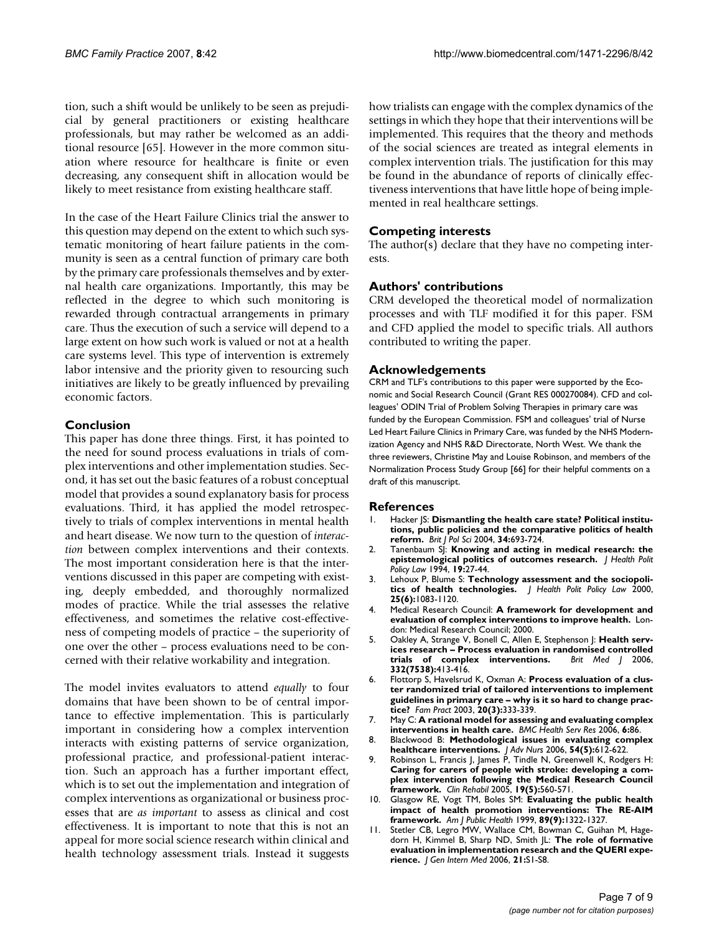tion, such a shift would be unlikely to be seen as prejudicial by general practitioners or existing healthcare professionals, but may rather be welcomed as an additional resource [65]. However in the more common situation where resource for healthcare is finite or even decreasing, any consequent shift in allocation would be likely to meet resistance from existing healthcare staff.

In the case of the Heart Failure Clinics trial the answer to this question may depend on the extent to which such systematic monitoring of heart failure patients in the community is seen as a central function of primary care both by the primary care professionals themselves and by external health care organizations. Importantly, this may be reflected in the degree to which such monitoring is rewarded through contractual arrangements in primary care. Thus the execution of such a service will depend to a large extent on how such work is valued or not at a health care systems level. This type of intervention is extremely labor intensive and the priority given to resourcing such initiatives are likely to be greatly influenced by prevailing economic factors.

## **Conclusion**

This paper has done three things. First, it has pointed to the need for sound process evaluations in trials of complex interventions and other implementation studies. Second, it has set out the basic features of a robust conceptual model that provides a sound explanatory basis for process evaluations. Third, it has applied the model retrospectively to trials of complex interventions in mental health and heart disease. We now turn to the question of *interaction* between complex interventions and their contexts. The most important consideration here is that the interventions discussed in this paper are competing with existing, deeply embedded, and thoroughly normalized modes of practice. While the trial assesses the relative effectiveness, and sometimes the relative cost-effectiveness of competing models of practice – the superiority of one over the other – process evaluations need to be concerned with their relative workability and integration.

The model invites evaluators to attend *equally* to four domains that have been shown to be of central importance to effective implementation. This is particularly important in considering how a complex intervention interacts with existing patterns of service organization, professional practice, and professional-patient interaction. Such an approach has a further important effect, which is to set out the implementation and integration of complex interventions as organizational or business processes that are *as important* to assess as clinical and cost effectiveness. It is important to note that this is not an appeal for more social science research within clinical and health technology assessment trials. Instead it suggests how trialists can engage with the complex dynamics of the settings in which they hope that their interventions will be implemented. This requires that the theory and methods of the social sciences are treated as integral elements in complex intervention trials. The justification for this may be found in the abundance of reports of clinically effectiveness interventions that have little hope of being implemented in real healthcare settings.

#### **Competing interests**

The author(s) declare that they have no competing interests.

#### **Authors' contributions**

CRM developed the theoretical model of normalization processes and with TLF modified it for this paper. FSM and CFD applied the model to specific trials. All authors contributed to writing the paper.

#### **Acknowledgements**

CRM and TLF's contributions to this paper were supported by the Economic and Social Research Council (Grant RES 000270084). CFD and colleagues' ODIN Trial of Problem Solving Therapies in primary care was funded by the European Commission. FSM and colleagues' trial of Nurse Led Heart Failure Clinics in Primary Care, was funded by the NHS Modernization Agency and NHS R&D Directorate, North West. We thank the three reviewers, Christine May and Louise Robinson, and members of the Normalization Process Study Group [66] for their helpful comments on a draft of this manuscript.

#### **References**

- Hacker JS: Dismantling the health care state? Political institu**tions, public policies and the comparative politics of health reform.** *Brit J Pol Sci* 2004, **34:**693-724.
- 2. Tanenbaum SJ: **[Knowing and acting in medical research: the](http://www.ncbi.nlm.nih.gov/entrez/query.fcgi?cmd=Retrieve&db=PubMed&dopt=Abstract&list_uids=8014421) [epistemological politics of outcomes research.](http://www.ncbi.nlm.nih.gov/entrez/query.fcgi?cmd=Retrieve&db=PubMed&dopt=Abstract&list_uids=8014421)** *J Health Polit Policy Law* 1994, **19:**27-44.
- 3. Lehoux P, Blume S: **[Technology assessment and the sociopoli](http://www.ncbi.nlm.nih.gov/entrez/query.fcgi?cmd=Retrieve&db=PubMed&dopt=Abstract&list_uids=11142053)[tics of health technologies.](http://www.ncbi.nlm.nih.gov/entrez/query.fcgi?cmd=Retrieve&db=PubMed&dopt=Abstract&list_uids=11142053)** *J Health Polit Policy Law* 2000, **25(6):**1083-1120.
- 4. Medical Research Council: **A framework for development and evaluation of complex interventions to improve health.** London: Medical Research Council; 2000.
- 5. Oakley A, Strange V, Bonell C, Allen E, Stephenson J: **[Health serv](http://www.ncbi.nlm.nih.gov/entrez/query.fcgi?cmd=Retrieve&db=PubMed&dopt=Abstract&list_uids=16484270)[ices research – Process evaluation in randomised controlled](http://www.ncbi.nlm.nih.gov/entrez/query.fcgi?cmd=Retrieve&db=PubMed&dopt=Abstract&list_uids=16484270)**<br>trials of complex interventions. Brit Med | 2006, [trials of complex interventions.](http://www.ncbi.nlm.nih.gov/entrez/query.fcgi?cmd=Retrieve&db=PubMed&dopt=Abstract&list_uids=16484270) **332(7538):**413-416.
- 6. Flottorp S, Havelsrud K, Oxman A: **[Process evaluation of a clus](http://www.ncbi.nlm.nih.gov/entrez/query.fcgi?cmd=Retrieve&db=PubMed&dopt=Abstract&list_uids=12738704)ter randomized trial of tailored interventions to implement [guidelines in primary care – why is it so hard to change prac](http://www.ncbi.nlm.nih.gov/entrez/query.fcgi?cmd=Retrieve&db=PubMed&dopt=Abstract&list_uids=12738704)[tice?](http://www.ncbi.nlm.nih.gov/entrez/query.fcgi?cmd=Retrieve&db=PubMed&dopt=Abstract&list_uids=12738704)** *Fam Pract* 2003, **20(3):**333-339.
- 7. May C: **[A rational model for assessing and evaluating complex](http://www.ncbi.nlm.nih.gov/entrez/query.fcgi?cmd=Retrieve&db=PubMed&dopt=Abstract&list_uids=16827928) [interventions in health care.](http://www.ncbi.nlm.nih.gov/entrez/query.fcgi?cmd=Retrieve&db=PubMed&dopt=Abstract&list_uids=16827928)** *BMC Health Serv Res* 2006, **6:**86.
- 8. Blackwood B: **[Methodological issues in evaluating complex](http://www.ncbi.nlm.nih.gov/entrez/query.fcgi?cmd=Retrieve&db=PubMed&dopt=Abstract&list_uids=16722959) [healthcare interventions.](http://www.ncbi.nlm.nih.gov/entrez/query.fcgi?cmd=Retrieve&db=PubMed&dopt=Abstract&list_uids=16722959)** *J Adv Nurs* 2006, **54(5):**612-622.
- 9. Robinson L, Francis J, James P, Tindle N, Greenwell K, Rodgers H: **Caring for carers of people with stroke: developing a com[plex intervention following the Medical Research Council](http://www.ncbi.nlm.nih.gov/entrez/query.fcgi?cmd=Retrieve&db=PubMed&dopt=Abstract&list_uids=16119413) [framework.](http://www.ncbi.nlm.nih.gov/entrez/query.fcgi?cmd=Retrieve&db=PubMed&dopt=Abstract&list_uids=16119413)** *Clin Rehabil* 2005, **19(5):**560-571.
- 10. Glasgow RE, Vogt TM, Boles SM: **[Evaluating the public health](http://www.ncbi.nlm.nih.gov/entrez/query.fcgi?cmd=Retrieve&db=PubMed&dopt=Abstract&list_uids=10474547) [impact of health promotion interventions: The RE-AIM](http://www.ncbi.nlm.nih.gov/entrez/query.fcgi?cmd=Retrieve&db=PubMed&dopt=Abstract&list_uids=10474547) [framework.](http://www.ncbi.nlm.nih.gov/entrez/query.fcgi?cmd=Retrieve&db=PubMed&dopt=Abstract&list_uids=10474547)** *Am J Public Health* 1999, **89(9):**1322-1327.
- 11. Stetler CB, Legro MW, Wallace CM, Bowman C, Guihan M, Hagedorn H, Kimmel B, Sharp ND, Smith JL: **[The role of formative](http://www.ncbi.nlm.nih.gov/entrez/query.fcgi?cmd=Retrieve&db=PubMed&dopt=Abstract&list_uids=16637954) [evaluation in implementation research and the QUERI expe](http://www.ncbi.nlm.nih.gov/entrez/query.fcgi?cmd=Retrieve&db=PubMed&dopt=Abstract&list_uids=16637954)[rience.](http://www.ncbi.nlm.nih.gov/entrez/query.fcgi?cmd=Retrieve&db=PubMed&dopt=Abstract&list_uids=16637954)** *J Gen Intern Med* 2006, **21:**S1-S8.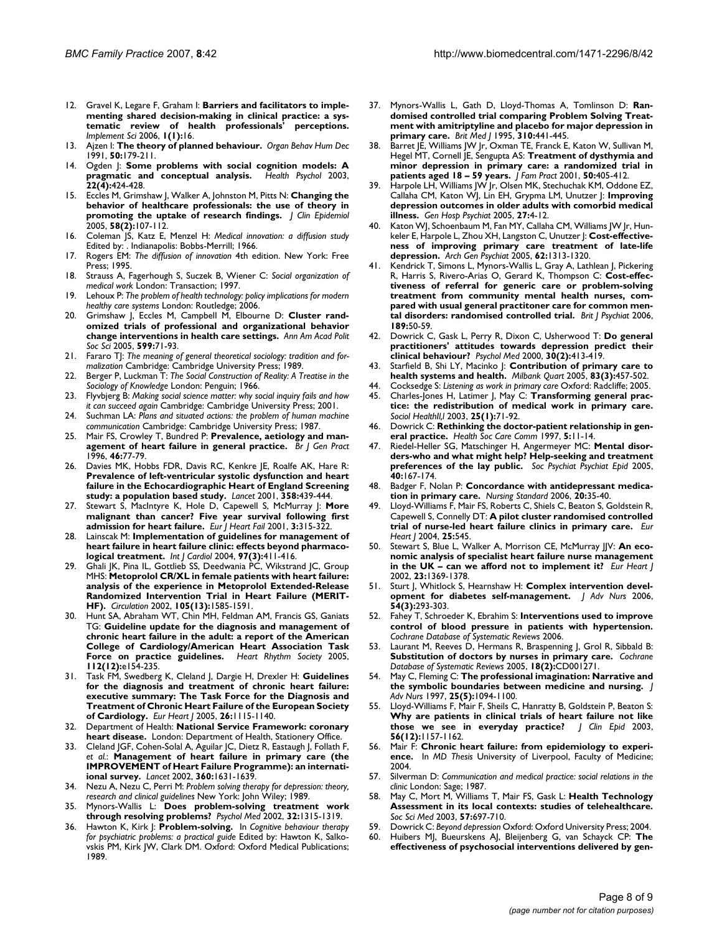- 12. Gravel K, Legare F, Graham I: **[Barriers and facilitators to imple](http://www.ncbi.nlm.nih.gov/entrez/query.fcgi?cmd=Retrieve&db=PubMed&dopt=Abstract&list_uids=16899124)menting shared decision-making in clinical practice: a sys[tematic review of health professionals' perceptions.](http://www.ncbi.nlm.nih.gov/entrez/query.fcgi?cmd=Retrieve&db=PubMed&dopt=Abstract&list_uids=16899124)** *Implement Sci* 2006, **1(1):**16.
- 13. Ajzen I: **The theory of planned behaviour.** *Organ Behav Hum Dec* 1991, **50:**179-211.
- 14. Ogden J: **[Some problems with social cognition models: A](http://www.ncbi.nlm.nih.gov/entrez/query.fcgi?cmd=Retrieve&db=PubMed&dopt=Abstract&list_uids=12940399) [pragmatic and conceptual analysis.](http://www.ncbi.nlm.nih.gov/entrez/query.fcgi?cmd=Retrieve&db=PubMed&dopt=Abstract&list_uids=12940399)** *Health Psychol* 2003, **22(4):**424-428.
- 15. Eccles M, Grimshaw J, Walker A, Johnston M, Pitts N: **[Changing the](http://www.ncbi.nlm.nih.gov/entrez/query.fcgi?cmd=Retrieve&db=PubMed&dopt=Abstract&list_uids=15680740) [behavior of healthcare professionals: the use of theory in](http://www.ncbi.nlm.nih.gov/entrez/query.fcgi?cmd=Retrieve&db=PubMed&dopt=Abstract&list_uids=15680740) [promoting the uptake of research findings.](http://www.ncbi.nlm.nih.gov/entrez/query.fcgi?cmd=Retrieve&db=PubMed&dopt=Abstract&list_uids=15680740)** *J Clin Epidemiol* 2005, **58(2):**107-112.
- 16. Coleman JS, Katz E, Menzel H: *Medical innovation: a diffusion study* Edited by: . Indianapolis: Bobbs-Merrill; 1966.
- 17. Rogers EM: *The diffusion of innovation* 4th edition. New York: Free Press; 1995.
- 18. Strauss A, Fagerhough S, Suczek B, Wiener C: *Social organization of medical work* London: Transaction; 1997.
- 19. Lehoux P: *The problem of health technology: policy implications for modern healthy care systems* London: Routledge; 2006.
- 20. Grimshaw J, Eccles M, Campbell M, Elbourne D: **Cluster randomized trials of professional and organizational behavior change interventions in health care settings.** *Ann Am Acad Polit Soc Sci* 2005, **599:**71-93.
- 21. Fararo TJ: *The meaning of general theoretical sociology: tradition and formalization* Cambridge: Cambridge University Press; 1989.
- 22. Berger P, Luckman T: *The Social Construction of Reality: A Treatise in the Sociology of Knowledge* London: Penguin; 1966.
- 23. Flyvbjerg B: *Making social science matter: why social inquiry fails and how it can succeed again* Cambridge: Cambridge University Press; 2001.
- 24. Suchman LA: *Plans and situated actions: the problem of human machine communication* Cambridge: Cambridge University Press; 1987.
- 25. Mair FS, Crowley T, Bundred P: **[Prevalence, aetiology and man](http://www.ncbi.nlm.nih.gov/entrez/query.fcgi?cmd=Retrieve&db=PubMed&dopt=Abstract&list_uids=8855012)[agement of heart failure in general practice.](http://www.ncbi.nlm.nih.gov/entrez/query.fcgi?cmd=Retrieve&db=PubMed&dopt=Abstract&list_uids=8855012)** *Br J Gen Pract* 1996, **46:**77-79.
- Davies MK, Hobbs FDR, Davis RC, Kenkre JE, Roalfe AK, Hare R: **Prevalence of left-ventricular systolic dysfunction and heart [failure in the Echocardiographic Heart of England Screening](http://www.ncbi.nlm.nih.gov/entrez/query.fcgi?cmd=Retrieve&db=PubMed&dopt=Abstract&list_uids=11513906) [study: a population based study.](http://www.ncbi.nlm.nih.gov/entrez/query.fcgi?cmd=Retrieve&db=PubMed&dopt=Abstract&list_uids=11513906)** *Lancet* 2001, **358:**439-444.
- 27. Stewart S, MacIntyre K, Hole D, Capewell S, McMurray J: **[More](http://www.ncbi.nlm.nih.gov/entrez/query.fcgi?cmd=Retrieve&db=PubMed&dopt=Abstract&list_uids=11378002) [malignant than cancer? Five year survival following first](http://www.ncbi.nlm.nih.gov/entrez/query.fcgi?cmd=Retrieve&db=PubMed&dopt=Abstract&list_uids=11378002) [admission for heart failure.](http://www.ncbi.nlm.nih.gov/entrez/query.fcgi?cmd=Retrieve&db=PubMed&dopt=Abstract&list_uids=11378002)** *Eur J Heart Fail* 2001, **3:**315-322.
- 28. Lainscak M: **[Implementation of guidelines for management of](http://www.ncbi.nlm.nih.gov/entrez/query.fcgi?cmd=Retrieve&db=PubMed&dopt=Abstract&list_uids=15561327) [heart failure in heart failure clinic: effects beyond pharmaco](http://www.ncbi.nlm.nih.gov/entrez/query.fcgi?cmd=Retrieve&db=PubMed&dopt=Abstract&list_uids=15561327)[logical treatment.](http://www.ncbi.nlm.nih.gov/entrez/query.fcgi?cmd=Retrieve&db=PubMed&dopt=Abstract&list_uids=15561327)** *Int J Cardiol* 2004, **97(3):**411-416.
- 29. Ghali JK, Pina IL, Gottlieb SS, Deedwania PC, Wikstrand JC, Group MHS: **[Metoprolol CR/XL in female patients with heart failure:](http://www.ncbi.nlm.nih.gov/entrez/query.fcgi?cmd=Retrieve&db=PubMed&dopt=Abstract&list_uids=11927527) analysis of the experience in Metoprolol Extended-Release [Randomized Intervention Trial in Heart Failure \(MERIT-](http://www.ncbi.nlm.nih.gov/entrez/query.fcgi?cmd=Retrieve&db=PubMed&dopt=Abstract&list_uids=11927527)[HF\).](http://www.ncbi.nlm.nih.gov/entrez/query.fcgi?cmd=Retrieve&db=PubMed&dopt=Abstract&list_uids=11927527)** *Circulation* 2002, **105(13):**1585-1591.
- 30. Hunt SA, Abraham WT, Chin MH, Feldman AM, Francis GS, Ganiats TG: **Guideline update for the diagnosis and management of chronic heart failure in the adult: a report of the American College of Cardiology/American Heart Association Task Force on practice guidelines.** *Heart Rhythm Society* 2005, **112(12):**e154-235.
- 31. Task FM, Swedberg K, Cleland J, Dargie H, Drexler H: **[Guidelines](http://www.ncbi.nlm.nih.gov/entrez/query.fcgi?cmd=Retrieve&db=PubMed&dopt=Abstract&list_uids=15901669) for the diagnosis and treatment of chronic heart failure: [executive summary: The Task Force for the Diagnosis and](http://www.ncbi.nlm.nih.gov/entrez/query.fcgi?cmd=Retrieve&db=PubMed&dopt=Abstract&list_uids=15901669) Treatment of Chronic Heart Failure of the European Society [of Cardiology.](http://www.ncbi.nlm.nih.gov/entrez/query.fcgi?cmd=Retrieve&db=PubMed&dopt=Abstract&list_uids=15901669)** *Eur Heart J* 2005, **26:**1115-1140.
- 32. Department of Health: **National Service Framework: coronary heart disease.** London: Department of Health, Stationery Office.
- 33. Cleland JGF, Cohen-Solal A, Aguilar JC, Dietz R, Eastaugh J, Follath F, *et al.*: **[Management of heart failure in primary care \(the](http://www.ncbi.nlm.nih.gov/entrez/query.fcgi?cmd=Retrieve&db=PubMed&dopt=Abstract&list_uids=12457785) [IMPROVEMENT of Heart Failure Programme\): an internati](http://www.ncbi.nlm.nih.gov/entrez/query.fcgi?cmd=Retrieve&db=PubMed&dopt=Abstract&list_uids=12457785)[ional survey.](http://www.ncbi.nlm.nih.gov/entrez/query.fcgi?cmd=Retrieve&db=PubMed&dopt=Abstract&list_uids=12457785)** *Lancet* 2002, **360:**1631-1639.
- 34. Nezu A, Nezu C, Perri M: *Problem solving therapy for depression: theory, research and clinical guidelines* New York: John Wiley; 1989.
- 35. Mynors-Wallis L: **[Does problem-solving treatment work](http://www.ncbi.nlm.nih.gov/entrez/query.fcgi?cmd=Retrieve&db=PubMed&dopt=Abstract&list_uids=12420901) [through resolving problems?](http://www.ncbi.nlm.nih.gov/entrez/query.fcgi?cmd=Retrieve&db=PubMed&dopt=Abstract&list_uids=12420901)** *Psychol Med* 2002, **32:**1315-1319.
- 36. Hawton K, Kirk J: **Problem-solving.** In *Cognitive behaviour therapy for psychiatric problems: a practical guide* Edited by: Hawton K, Salkovskis PM, Kirk JW, Clark DM. Oxford: Oxford Medical Publications; 1989.
- 37. Mynors-Wallis L, Gath D, Lloyd-Thomas A, Tomlinson D: **[Ran](http://www.ncbi.nlm.nih.gov/entrez/query.fcgi?cmd=Retrieve&db=PubMed&dopt=Abstract&list_uids=7873952)domised controlled trial comparing Problem Solving Treat[ment with amitriptyline and placebo for major depression in](http://www.ncbi.nlm.nih.gov/entrez/query.fcgi?cmd=Retrieve&db=PubMed&dopt=Abstract&list_uids=7873952) [primary care.](http://www.ncbi.nlm.nih.gov/entrez/query.fcgi?cmd=Retrieve&db=PubMed&dopt=Abstract&list_uids=7873952)** *Brit Med J* 1995, **310:**441-445.
- Barret JE, Williams JW Jr, Oxman TE, Franck E, Katon W, Sullivan M, Hegel MT, Cornell JE, Sengupta AS: **[Treatment of dysthymia and](http://www.ncbi.nlm.nih.gov/entrez/query.fcgi?cmd=Retrieve&db=PubMed&dopt=Abstract&list_uids=11350703) [minor depression in primary care: a randomized trial in](http://www.ncbi.nlm.nih.gov/entrez/query.fcgi?cmd=Retrieve&db=PubMed&dopt=Abstract&list_uids=11350703) [patients aged 18 – 59 years.](http://www.ncbi.nlm.nih.gov/entrez/query.fcgi?cmd=Retrieve&db=PubMed&dopt=Abstract&list_uids=11350703)** *J Fam Pract* 2001, **50:**405-412.
- 39. Harpole LH, Williams JW Jr, Olsen MK, Stechuchak KM, Oddone EZ, Callaha CM, Katon WJ, Lin EH, Grypma LM, Unutzer J: **Improving depression outcomes in older adults with comorbid medical illness.** *Gen Hosp Psychiat* 2005, **27:**4-12.
- 40. Katon WJ, Schoenbaum M, Fan MY, Callaha CM, Williams JW Jr, Hunkeler E, Harpole L, Zhou XH, Langston C, Unutzer J: **[Cost-effective](http://www.ncbi.nlm.nih.gov/entrez/query.fcgi?cmd=Retrieve&db=PubMed&dopt=Abstract&list_uids=16330719)[ness of improving primary care treatment of late-life](http://www.ncbi.nlm.nih.gov/entrez/query.fcgi?cmd=Retrieve&db=PubMed&dopt=Abstract&list_uids=16330719) [depression.](http://www.ncbi.nlm.nih.gov/entrez/query.fcgi?cmd=Retrieve&db=PubMed&dopt=Abstract&list_uids=16330719)** *Arch Gen Psychiat* 2005, **62:**1313-1320.
- Kendrick T, Simons L, Mynors-Wallis L, Gray A, Lathlean J, Pickering R, Harris S, Rivero-Arias O, Gerard K, Thompson C: **[Cost-effec](http://www.ncbi.nlm.nih.gov/entrez/query.fcgi?cmd=Retrieve&db=PubMed&dopt=Abstract&list_uids=16816306)tiveness of referral for generic care or problem-solving [treatment from community mental health nurses, com](http://www.ncbi.nlm.nih.gov/entrez/query.fcgi?cmd=Retrieve&db=PubMed&dopt=Abstract&list_uids=16816306)pared with usual general practitoner care for common men[tal disorders: randomised controlled trial.](http://www.ncbi.nlm.nih.gov/entrez/query.fcgi?cmd=Retrieve&db=PubMed&dopt=Abstract&list_uids=16816306)** *Brit J Psychiat* 2006, **189:**50-59.
- 42. Dowrick C, Gask L, Perry R, Dixon C, Usherwood T: **[Do general](http://www.ncbi.nlm.nih.gov/entrez/query.fcgi?cmd=Retrieve&db=PubMed&dopt=Abstract&list_uids=10824661) [practitioners' attitudes towards depression predict their](http://www.ncbi.nlm.nih.gov/entrez/query.fcgi?cmd=Retrieve&db=PubMed&dopt=Abstract&list_uids=10824661) [clinical behaviour?](http://www.ncbi.nlm.nih.gov/entrez/query.fcgi?cmd=Retrieve&db=PubMed&dopt=Abstract&list_uids=10824661)** *Psychol Med* 2000, **30(2):**413-419.
- 43. Starfield B, Shi LY, Macinko J: **Contribution of primary care to health systems and health.** *Milbank Quart* 2005, **83(3):**457-502.
- 44. Cocksedge S: *Listening as work in primary care* Oxford: Radcliffe; 2005.
- 45. Charles-Jones H, Latimer J, May C: **Transforming general practice: the redistribution of medical work in primary care.** *Sociol HealthIl,l* 2003, **25(1):**71-92.
- 46. Dowrick C: **Rethinking the doctor-patient relationship in general practice.** *Health Soc Care Comm* 1997, **5:**11-14.
- 47. Riedel-Heller SG, Matschinger H, Angermeyer MC: **Mental disorders-who and what might help? Help-seeking and treatment preferences of the lay public.** *Soc Psychiat Psychiat Epid* 2005, **40:**167-174.
- 48. Badger F, Nolan P: **[Concordance with antidepressant medica](http://www.ncbi.nlm.nih.gov/entrez/query.fcgi?cmd=Retrieve&db=PubMed&dopt=Abstract&list_uids=16989339)[tion in primary care.](http://www.ncbi.nlm.nih.gov/entrez/query.fcgi?cmd=Retrieve&db=PubMed&dopt=Abstract&list_uids=16989339)** *Nursing Standard* 2006, **20:**35-40.
- Lloyd-Williams F, Mair FS, Roberts C, Shiels C, Beaton S, Goldstein R, Capewell S, Connelly DT: **A pilot cluster randomised controlled trial of nurse-led heart failure clinics in primary care.** *Eur Heart J* 2004, **25:**545.
- 50. Stewart S, Blue L, Walker A, Morrison CE, McMurray JJV: **[An eco](http://www.ncbi.nlm.nih.gov/entrez/query.fcgi?cmd=Retrieve&db=PubMed&dopt=Abstract&list_uids=12191748)[nomic analysis of specialist heart failure nurse management](http://www.ncbi.nlm.nih.gov/entrez/query.fcgi?cmd=Retrieve&db=PubMed&dopt=Abstract&list_uids=12191748) [in the UK – can we afford not to implement it?](http://www.ncbi.nlm.nih.gov/entrez/query.fcgi?cmd=Retrieve&db=PubMed&dopt=Abstract&list_uids=12191748)** *Eur Heart J* 2002, **23:**1369-1378.
- 51. Sturt J, Whitlock S, Hearnshaw H: **[Complex intervention devel](http://www.ncbi.nlm.nih.gov/entrez/query.fcgi?cmd=Retrieve&db=PubMed&dopt=Abstract&list_uids=16629914)[opment for diabetes self-management.](http://www.ncbi.nlm.nih.gov/entrez/query.fcgi?cmd=Retrieve&db=PubMed&dopt=Abstract&list_uids=16629914)** *J Adv Nurs* 2006, **54(3):**293-303.
- 52. Fahey T, Schroeder K, Ebrahim S: **Interventions used to improve control of blood pressure in patients with hypertension.** *Cochrane Database of Systematic Reviews* 2006.
- Laurant M, Reeves D, Hermans R, Braspenning J, Grol R, Sibbald B: **Substitution of doctors by nurses in primary care.** *Cochrane Database of Systematic Reviews* 2005, **18(2):**CD001271.
- 54. May C, Fleming C: **[The professional imagination: Narrative and](http://www.ncbi.nlm.nih.gov/entrez/query.fcgi?cmd=Retrieve&db=PubMed&dopt=Abstract&list_uids=9147218) [the symbolic boundaries between medicine and nursing.](http://www.ncbi.nlm.nih.gov/entrez/query.fcgi?cmd=Retrieve&db=PubMed&dopt=Abstract&list_uids=9147218)** *J Adv Nurs* 1997, **25(5):**1094-1100.
- 55. Lloyd-Williams F, Mair F, Sheils C, Hanratty B, Goldstein P, Beaton S: **Why are patients in clinical trials of heart failure not like those we see in everyday practice?** *J Clin Epid* 2003, **56(12):**1157-1162.
- 56. Mair F: **Chronic heart failure: from epidemiology to experience.** In *MD Thesis* University of Liverpool, Faculty of Medicine; 2004.
- 57. Silverman D: *Communication and medical practice: social relations in the clinic* London: Sage; 1987.
- 58. May C, Mort M, Williams T, Mair FS, Gask L: **[Health Technology](http://www.ncbi.nlm.nih.gov/entrez/query.fcgi?cmd=Retrieve&db=PubMed&dopt=Abstract&list_uids=12821017) [Assessment in its local contexts: studies of telehealthcare.](http://www.ncbi.nlm.nih.gov/entrez/query.fcgi?cmd=Retrieve&db=PubMed&dopt=Abstract&list_uids=12821017)** *Soc Sci Med* 2003, **57:**697-710.
- 59. Dowrick C: *Beyond depression* Oxford: Oxford University Press; 2004.
- 60. Huibers MJ, Bueurskens AJ, Bleijenberg G, van Schayck CP: **The effectiveness of psychosocial interventions delivered by gen-**